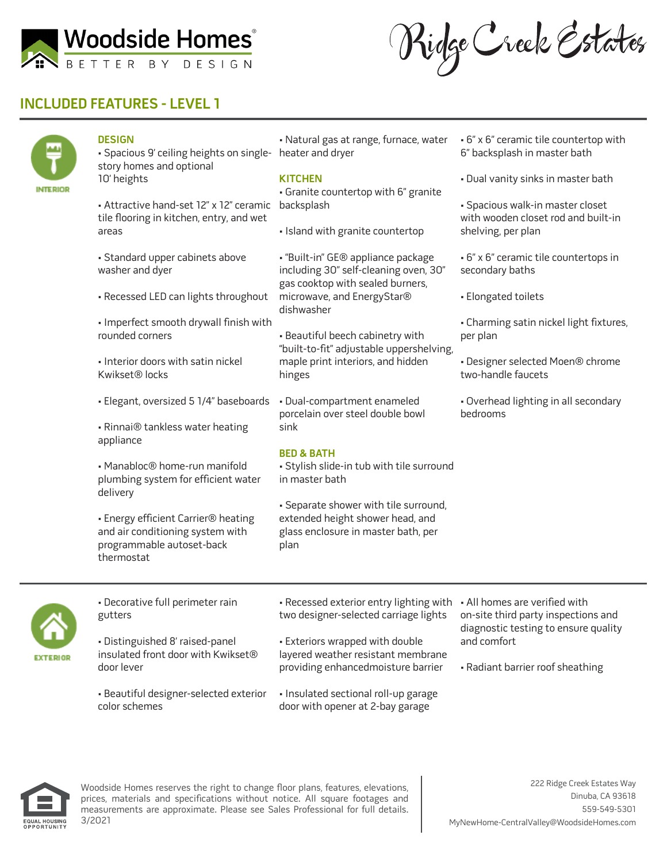

Ridge Creek Estates

# **INCLUDED FEATURES - LEVEL 1**



### **DESIGN**

• Spacious 9' ceiling heights on single-heater and dryer story homes and optional 10' heights

• Attractive hand-set 12" x 12" ceramic backsplash tile flooring in kitchen, entry, and wet areas

- Standard upper cabinets above washer and dyer
- Recessed LED can lights throughout
- Imperfect smooth drywall finish with rounded corners
- Interior doors with satin nickel Kwikset® locks
- Elegant, oversized 5 1/4" baseboards
- Rinnai® tankless water heating appliance

• Manabloc® home-run manifold plumbing system for efficient water delivery

• Energy efficient Carrier® heating and air conditioning system with programmable autoset-back thermostat

• Natural gas at range, furnace, water

### **KITCHEN**

• Granite countertop with 6" granite

• Island with granite countertop

• "Built-in" GE® appliance package including 30" self-cleaning oven, 30" gas cooktop with sealed burners, microwave, and EnergyStar® dishwasher

• Beautiful beech cabinetry with "built-to-fit" adjustable uppershelving, maple print interiors, and hidden hinges

• Dual-compartment enameled porcelain over steel double bowl sink

### **BED & BATH**

• Stylish slide-in tub with tile surround in master bath

• Separate shower with tile surround, extended height shower head, and glass enclosure in master bath, per plan

- 6" x 6" ceramic tile countertop with 6" backsplash in master bath
- Dual vanity sinks in master bath

• Spacious walk-in master closet with wooden closet rod and built-in shelving, per plan

- 6" x 6" ceramic tile countertops in secondary baths
- Elongated toilets
- Charming satin nickel light fixtures, per plan
- Designer selected Moen® chrome two-handle faucets
- Overhead lighting in all secondary bedrooms



• Decorative full perimeter rain gutters

• Distinguished 8' raised-panel insulated front door with Kwikset® door lever

• Beautiful designer-selected exterior color schemes

• Recessed exterior entry lighting with • All homes are verified with two designer-selected carriage lights

• Exteriors wrapped with double layered weather resistant membrane providing enhancedmoisture barrier

• Insulated sectional roll-up garage door with opener at 2-bay garage

on-site third party inspections and diagnostic testing to ensure quality and comfort

• Radiant barrier roof sheathing



Woodside Homes reserves the right to change floor plans, features, elevations, prices, materials and specifications without notice. All square footages and measurements are approximate. Please see Sales Professional for full details. 3/2021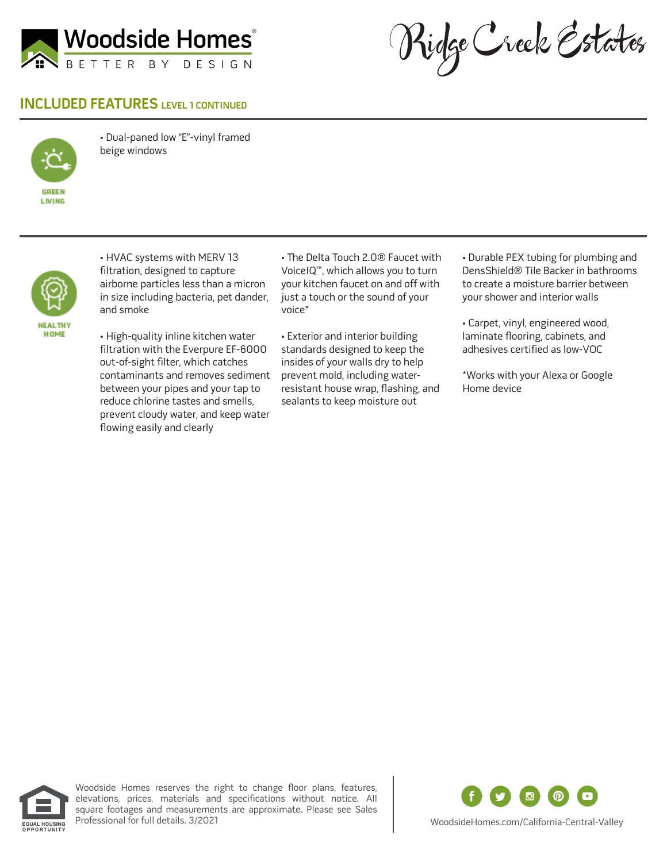

Ridge Creek Estates

## **INCLUDED FEATURES** LEVEL 1 CONTINUED



• Dual-paned low "E"-vinyl framed beige windows



• HVAC systems with MERV 13 filtration, designed to capture airborne particles less than a micron in size including bacteria, pet dander, and smoke

• High-quality inline kitchen water filtration with the Everpure EF-6000 out-of-sight filter, which catches contaminants and removes sediment between your pipes and your tap to reduce chlorine tastes and smells, prevent cloudy water, and keep water flowing easily and clearly

• The Delta Touch 2.0® Faucet with VoiceIQ™, which allows you to turn your kitchen faucet on and off with just a touch or the sound of your voice\*

• Exterior and interior building standards designed to keep the insides of your walls dry to help prevent mold, including waterresistant house wrap, flashing, and sealants to keep moisture out

• Durable PEX tubing for plumbing and DensShield® Tile Backer in bathrooms to create a moisture barrier between your shower and interior walls

• Carpet, vinyl, engineered wood, laminate flooring, cabinets, and adhesives certified as low-VOC

\*Works with your Alexa or Google Home device



Woodside Homes reserves the right to change floor plans, features, elevations, prices, materials and specifications without notice. All square footages and measurements are approximate. Please see Sales<br>Professional for full details. 3/2021



WoodsideHomes.com/California-Central-Valley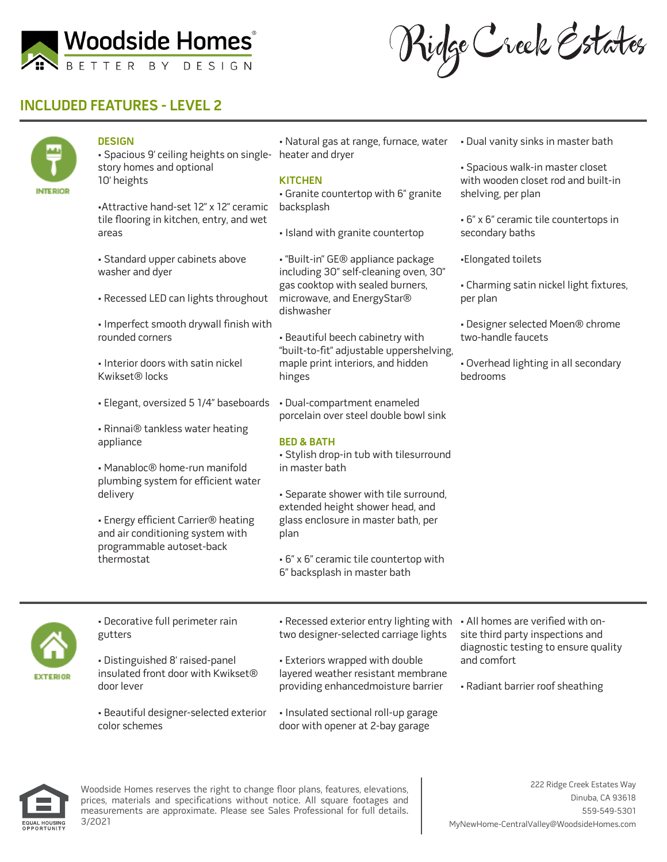

Ridge Creek Estates

# **INCLUDED FEATURES - LEVEL 2**



### **DESIGN**

• Spacious 9' ceiling heights on single-heater and dryer story homes and optional 10' heights

•Attractive hand-set 12" x 12" ceramic tile flooring in kitchen, entry, and wet areas

- Standard upper cabinets above washer and dyer
- Recessed LED can lights throughout
- Imperfect smooth drywall finish with rounded corners
- Interior doors with satin nickel Kwikset® locks
- Elegant, oversized 5 1/4" baseboards
- Rinnai® tankless water heating appliance
- Manabloc® home-run manifold plumbing system for efficient water delivery

• Energy efficient Carrier® heating and air conditioning system with programmable autoset-back thermostat

• Natural gas at range, furnace, water

#### **KITCHEN**

• Granite countertop with 6" granite backsplash

• Island with granite countertop

• "Built-in" GE® appliance package including 30" self-cleaning oven, 30" gas cooktop with sealed burners, microwave, and EnergyStar® dishwasher

• Beautiful beech cabinetry with "built-to-fit" adjustable uppershelving, maple print interiors, and hidden hinges

• Dual-compartment enameled porcelain over steel double bowl sink

### **BED & BATH**

• Stylish drop-in tub with tilesurround in master bath

• Separate shower with tile surround, extended height shower head, and glass enclosure in master bath, per plan

• 6" x 6" ceramic tile countertop with 6" backsplash in master bath

• Dual vanity sinks in master bath

• Spacious walk-in master closet with wooden closet rod and built-in shelving, per plan

• 6" x 6" ceramic tile countertops in secondary baths

•Elongated toilets

• Charming satin nickel light fixtures, per plan

• Designer selected Moen® chrome two-handle faucets

• Overhead lighting in all secondary bedrooms



• Decorative full perimeter rain gutters

• Distinguished 8' raised-panel insulated front door with Kwikset® door lever

• Beautiful designer-selected exterior color schemes

• Recessed exterior entry lighting with • All homes are verified with ontwo designer-selected carriage lights

• Exteriors wrapped with double layered weather resistant membrane providing enhancedmoisture barrier

• Insulated sectional roll-up garage door with opener at 2-bay garage

site third party inspections and diagnostic testing to ensure quality and comfort

• Radiant barrier roof sheathing



Woodside Homes reserves the right to change floor plans, features, elevations, prices, materials and specifications without notice. All square footages and measurements are approximate. Please see Sales Professional for full details. 3/2021